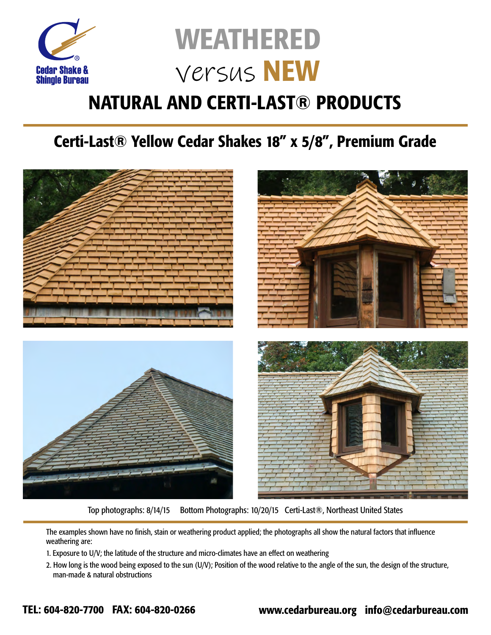

#### **NATURAL AND CERTI-LAST® PRODUCTS**

#### Certi-Last® Yellow Cedar Shakes 18" x 5/8", Premium Grade



Top photographs: 8/14/15 Bottom Photographs: 10/20/15 Certi-Last®, Northeast United States

The examples shown have no finish, stain or weathering product applied; the photographs all show the natural factors that influence weathering are:

- 1. Exposure to U/V; the latitude of the structure and micro-climates have an effect on weathering
- 2. How long is the wood being exposed to the sun (U/V); Position of the wood relative to the angle of the sun, the design of the structure, man-made & natural obstructions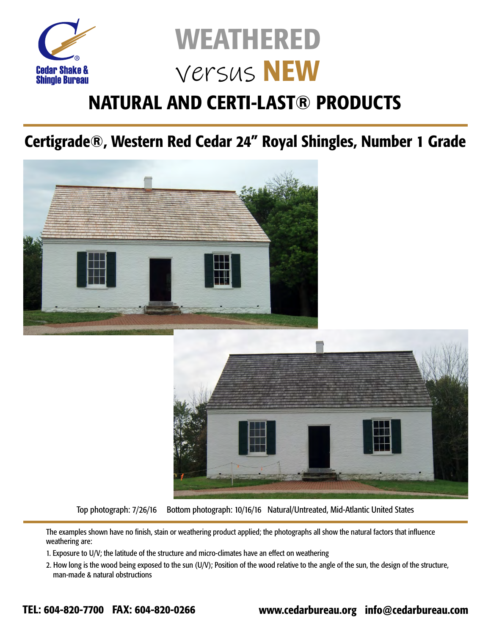

### **NATURAL AND CERTI-LAST® PRODUCTS**

Certigrade®, Western Red Cedar 24" Royal Shingles, Number 1 Grade





Top photograph: 7/26/16 Bottom photograph: 10/16/16 Natural/Untreated, Mid-Atlantic United States

The examples shown have no finish, stain or weathering product applied; the photographs all show the natural factors that influence weathering are:

- 1. Exposure to U/V; the latitude of the structure and micro-climates have an effect on weathering
- 2. How long is the wood being exposed to the sun (U/V); Position of the wood relative to the angle of the sun, the design of the structure, man-made & natural obstructions

TEL: 604-820-7700 FAX: 604-820-0266 www.cedarbureau.org info@cedarbureau.com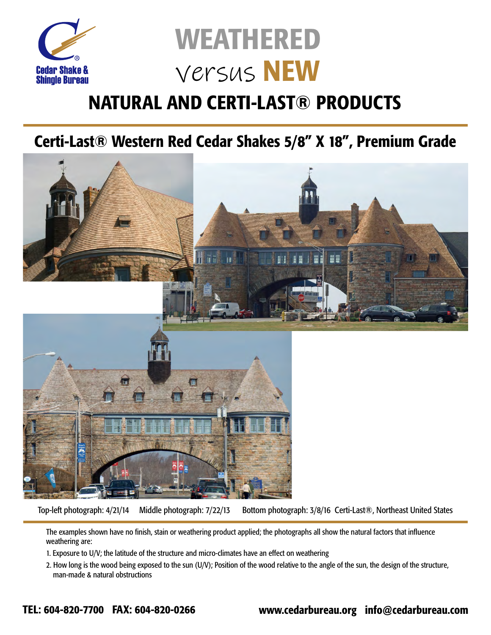

#### **NATURAL AND CERTI-LAST® PRODUCTS**

Certi-Last® Western Red Cedar Shakes 5/8" X 18", Premium Grade



Top-left photograph: 4/21/14 Middle photograph: 7/22/13 Bottom photograph: 3/8/16 Certi-Last®, Northeast United States

The examples shown have no finish, stain or weathering product applied; the photographs all show the natural factors that influence weathering are:

1. Exposure to U/V; the latitude of the structure and micro-climates have an effect on weathering

2. How long is the wood being exposed to the sun (U/V); Position of the wood relative to the angle of the sun, the design of the structure, man-made & natural obstructions